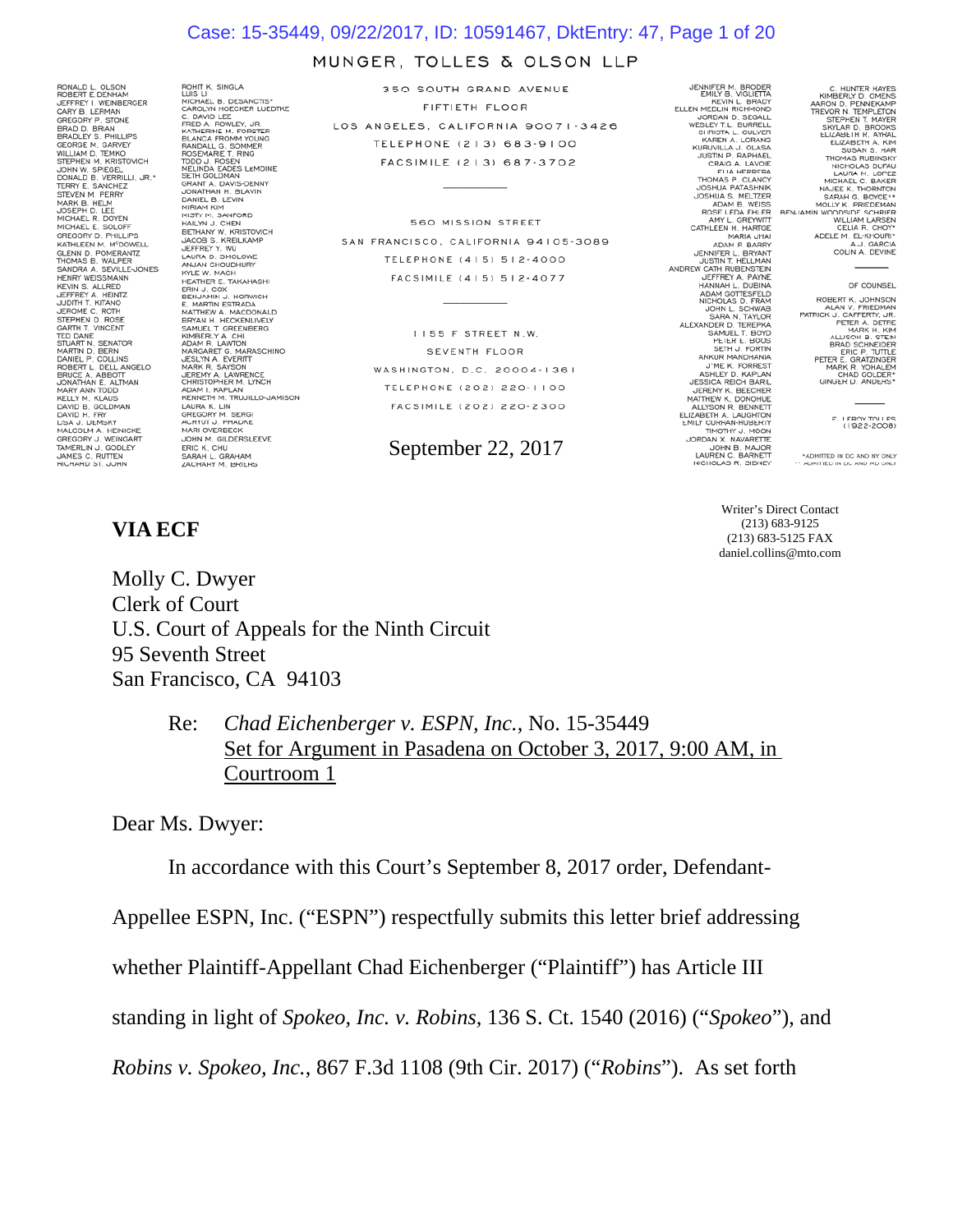### Case: 15-35449, 09/22/2017, ID: 10591467, DktEntry: 47, Page 1 of 20

### MUNGER, TOLLES & OLSON LLP

RONALD L. OLSON<br>ROBERT E. DENHAM<br>JEFFREY I. WEINBERGER<br>CARY B. LERMAN<br>GREGORY P. STONE CARY B. LERMAN<br>GREGORY P. STONE<br>BRADLEY S. PHILLIPS<br>BRADLEY S. PHILLIPS<br>WILLIAM D. TEMKO<br>WILLIAM D. TEMKO<br>STEPHEN M. KRISTOVICH<br>JOHN W. SPEGEL<br>JONN W. SPEGEL<br>TERRY E. SANCHEZ<br>TERRY E. SANCHEZ<br>STEVEN M. PERRY<br>TERRY E. SANCH SIEVEN M. PERRY<br>MARK B. HELM<br>MCHAEL R. DOYEN<br>MICHAEL E. SOLOFF<br>GREGORY D. PHILLIPS<br>KATHLEEN M. M<sup>C</sup>DOWELL GLENN D. POMERANTZ<br>THOMAS B. WALPER SANDRA A. SEVILLE-JONES **HENRY WEISSMANN** KEVIN S. ALLRED<br>JEFFREY A. HEINTZ<br>JUDITH T. KITANO JEROME C. ROTH JEROME C. ROTH<br>STEPHEN D. ROSE<br>GARTH T. VINCENT<br>TED DANE<br>STUART N. SENATOR ED DANT BERATOR<br>STUART N. SENATOR<br>SARTINE P. COLLANS<br>BRUCE A. ABBOTT<br>SARTEL P. COLLANS<br>BRUCE A. ABBOTT<br>MART ANN TODO<br>MART ANN TODO<br>DAVID B. GOLDMAN<br>DAVID B. GOLDMAN<br>MACOLM A. HEINICKE<br>MACOLM A. HEINICKE<br>SREGORY J. WEINGART

ROHIT K. SINGLA<br>
LUIS LIE D. DESANCTIS<br>
CAROLYN HOECKER LUEDTKE<br>
C. DAVID LEE<br>
FRED A. RONLEY, JR.<br>
KATHERINE M. FORSTER<br>
RANDALL G. SOMMY NOUNG<br>
RANDALL G. SOMMY<br>
ROSEMARIE T. RING<br>
TRED A. DAVIS - LEMOINE<br>
NELINO, A DAVI SETH GOLDMAN<br>GRANT A. DAVIS-DENNY<br>JONATHAN H. BLAVIN DANIEL B. LEVIN MIRIAM KIM MIRIAM KIM<br>MISTY M. SANFORD<br>HAILYN J. CHEN<br>BETHANY W. KRISTOVICH BETHANY W. KRISTOVIO<br>JACOB S. KREILKAMP<br>JEFFREY Y. WU<br>LAURA D. SMOLOWE<br>ANJAN CHOUDHURY<br>KYLE W. MACH KULTUR, MOOD MAARSHI<br>KIRIKA KARA HAMAHASHI<br>ERIN JAQOOX HORWICH<br>EMAARIN ETRADA<br>EMAARIN ETRADA<br>EMAARIN A MACDONALD<br>BRYAN H. MACDERIN<br>ADAM R. LAWTON<br>JESLYY A EVERIT<br>JESLYY A EVERIT<br>JESLYY A EVERIT<br>CHRISTOPHER M. LYNCH<br>CEREMY KENNETH M, TRUJILLO-JAI<br>LAURA K. LIN<br>GREGORY M, SERGI<br>AREGORY M, SERGI<br>MARI OVERBECK<br>JOHN M, GILDERSLEEVE<br>ERIC K. CHU<br>SARAH L. GRAHAM<br>ZACHARY M, BRIERS

350 SOUTH GRAND AVENUE FIFTIETH FLOOR LOS ANGELES, CALIFORNIA 90071-3426 **TELEPHONE (213) 683-9100** FACSIMILE (213) 687-3702

560 MISSION STREET SAN FRANCISCO, CALIFORNIA 94105-3089 TELEPHONE (415) 512-4000 FACSIMILE (415) 512-4077

> II55 F STREET N.W. SEVENTH FLOOR WASHINGTON, D.C. 20004-1361 TELEPHONE (202) 220-1100 FACSIMILE (202) 220-2300

### September 22, 2017

JENNIFER M. BRODER<br>EMILY B. VIGLIETTA<br>KEVIN L. BRADY<br>ELLEN MEDLIN RICHMOND<br>UPPLAN D. SEGALI ELLEN MEDLIN RICHMOND<br>
UORDAN D. SEGALL<br>
VESLEY T.L. BURRELL<br>
CHRISTA L. CULVER<br>
CHRISTA A. LORANG<br>
KURUVILLA J. OLASA<br>
JUSIN P. RAPHAEL<br>
CRAIG A. LAVOIE KURUVILLA JOUAN PROPERTY COUNSEL THAN THE SUBSERIES THAT THOMAS POSTAGE THAN A LOTE THAN A LOTE THAN A LOTE THAN A LOTE THAN A MOTHER CAN A LOTE THAN A MOTHER CAN A MOTHER OF CANCE THAN A MOTHER OF THE SAME OF THE SAME OF JENNIFER L. BRYANT<br>JUSTIN T. HELLMAN<br>ANDREW CATH RUBENSTEIN JEFFREY A. PAYNE HANNAH L. DUBINA ADAM GOTTESFELD<br>NICHOLAS D. FRAM ADAM GOTTESTELD<br>ADAM GOTTER CHANNEL CHANNEL SCHOOL SUNNEL SCHAPE AND SARA N, TAYLOR<br>SARA N, TAYLOR<br>PEIER E, BOOS<br>PEIER P, TEREPHA ANNI MANUMENT<br>ANNUMENT ANNI MANUMENT<br>SENHEN D, KAPILAN<br>JUME K, FORREST<br>JESSICA REICH BARIL<br>L

C. HUNTER HAYES<br>KIMBERLY D. OMENS<br>AARON D. PEMPLETON<br>TREVOR N. TEMPLETON<br>STEPHEN T. MAYER<br>ELIZABETH R. AYRAL ELIZABETH A. KIM SUSAN S. HAR A.J. GARCIA<br>COLIN A. DEVINE

#### OF COUNSEL

ROBERT K. JOHNSON<br>ALAN V. FRIEDMAN<br>PATRICK J. CAFFERTY, JR. TRICK J. CAPTERY, JR.<br>PETER A. DETER<br>ALLISON B. STEIN<br>ALLISON B. STEIN<br>BRAD SCHNEIDER<br>PETER E. GRATZINGER<br>MAR R. YOHALEM<br>CHAD GOLDER\*<br>GINGER D. ANDERS\*

E. LEROY TOLLES

\*ADMITTED IN DC AND NY ONLY

Writer's Direct Contact (213) 683-9125 (213) 683-5125 FAX daniel.collins@mto.com

Molly C. Dwyer Clerk of Court U.S. Court of Appeals for the Ninth Circuit 95 Seventh Street San Francisco, CA 94103

> Re: *Chad Eichenberger v. ESPN, Inc.*, No. 15-35449 Set for Argument in Pasadena on October 3, 2017, 9:00 AM, in Courtroom 1

Dear Ms. Dwyer:

In accordance with this Court's September 8, 2017 order, Defendant-

Appellee ESPN, Inc. ("ESPN") respectfully submits this letter brief addressing

whether Plaintiff-Appellant Chad Eichenberger ("Plaintiff") has Article III

standing in light of *Spokeo, Inc. v. Robins*, 136 S. Ct. 1540 (2016) ("*Spokeo*"), and

*Robins v. Spokeo, Inc.*, 867 F.3d 1108 (9th Cir. 2017) ("*Robins*"). As set forth

# **VIA ECF**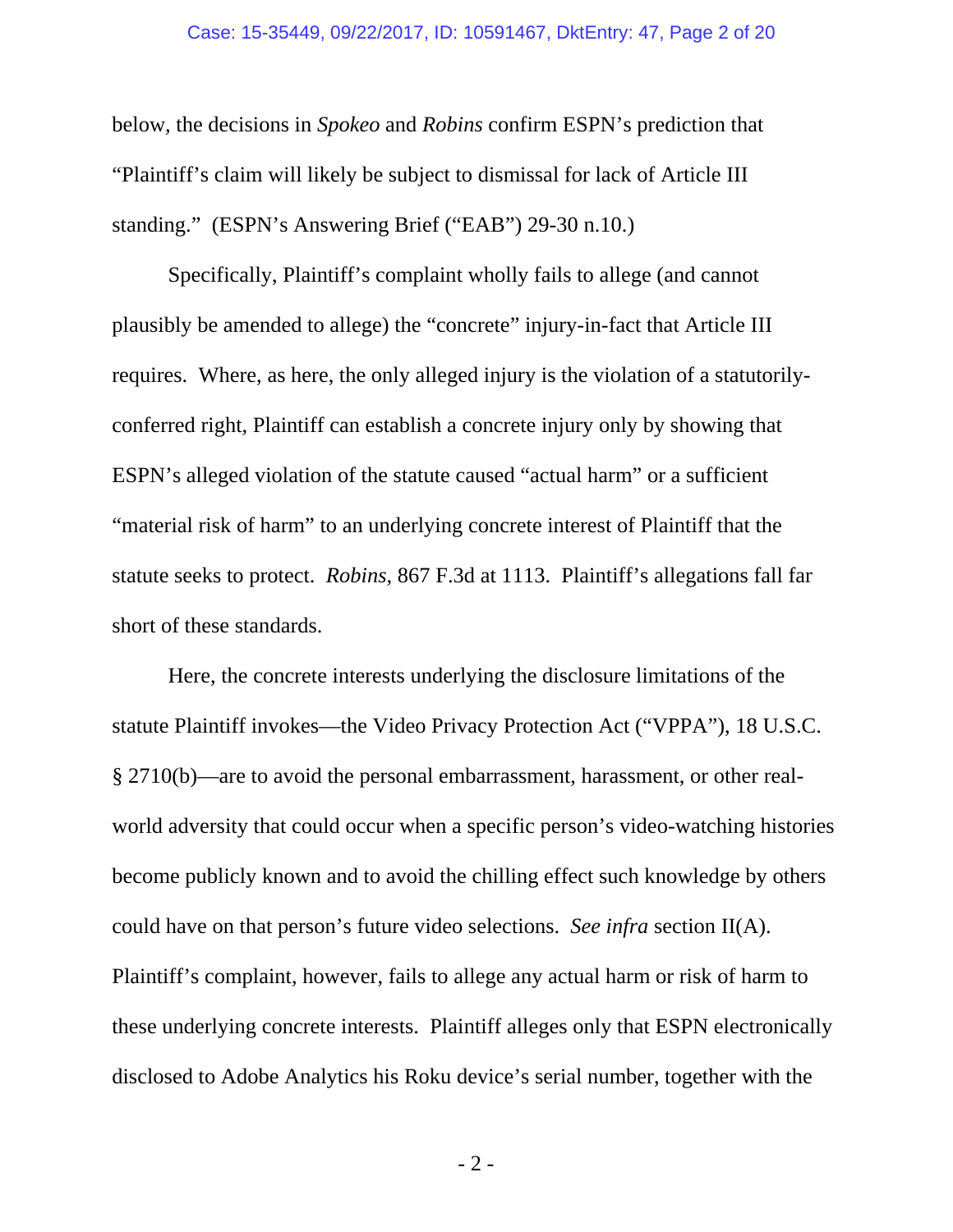### Case: 15-35449, 09/22/2017, ID: 10591467, DktEntry: 47, Page 2 of 20

below, the decisions in *Spokeo* and *Robins* confirm ESPN's prediction that "Plaintiff's claim will likely be subject to dismissal for lack of Article III standing." (ESPN's Answering Brief ("EAB") 29-30 n.10.)

Specifically, Plaintiff's complaint wholly fails to allege (and cannot plausibly be amended to allege) the "concrete" injury-in-fact that Article III requires. Where, as here, the only alleged injury is the violation of a statutorilyconferred right, Plaintiff can establish a concrete injury only by showing that ESPN's alleged violation of the statute caused "actual harm" or a sufficient "material risk of harm" to an underlying concrete interest of Plaintiff that the statute seeks to protect. *Robins*, 867 F.3d at 1113. Plaintiff's allegations fall far short of these standards.

Here, the concrete interests underlying the disclosure limitations of the statute Plaintiff invokes—the Video Privacy Protection Act ("VPPA"), 18 U.S.C. § 2710(b)—are to avoid the personal embarrassment, harassment, or other realworld adversity that could occur when a specific person's video-watching histories become publicly known and to avoid the chilling effect such knowledge by others could have on that person's future video selections. *See infra* section II(A). Plaintiff's complaint, however, fails to allege any actual harm or risk of harm to these underlying concrete interests. Plaintiff alleges only that ESPN electronically disclosed to Adobe Analytics his Roku device's serial number, together with the

- 2 -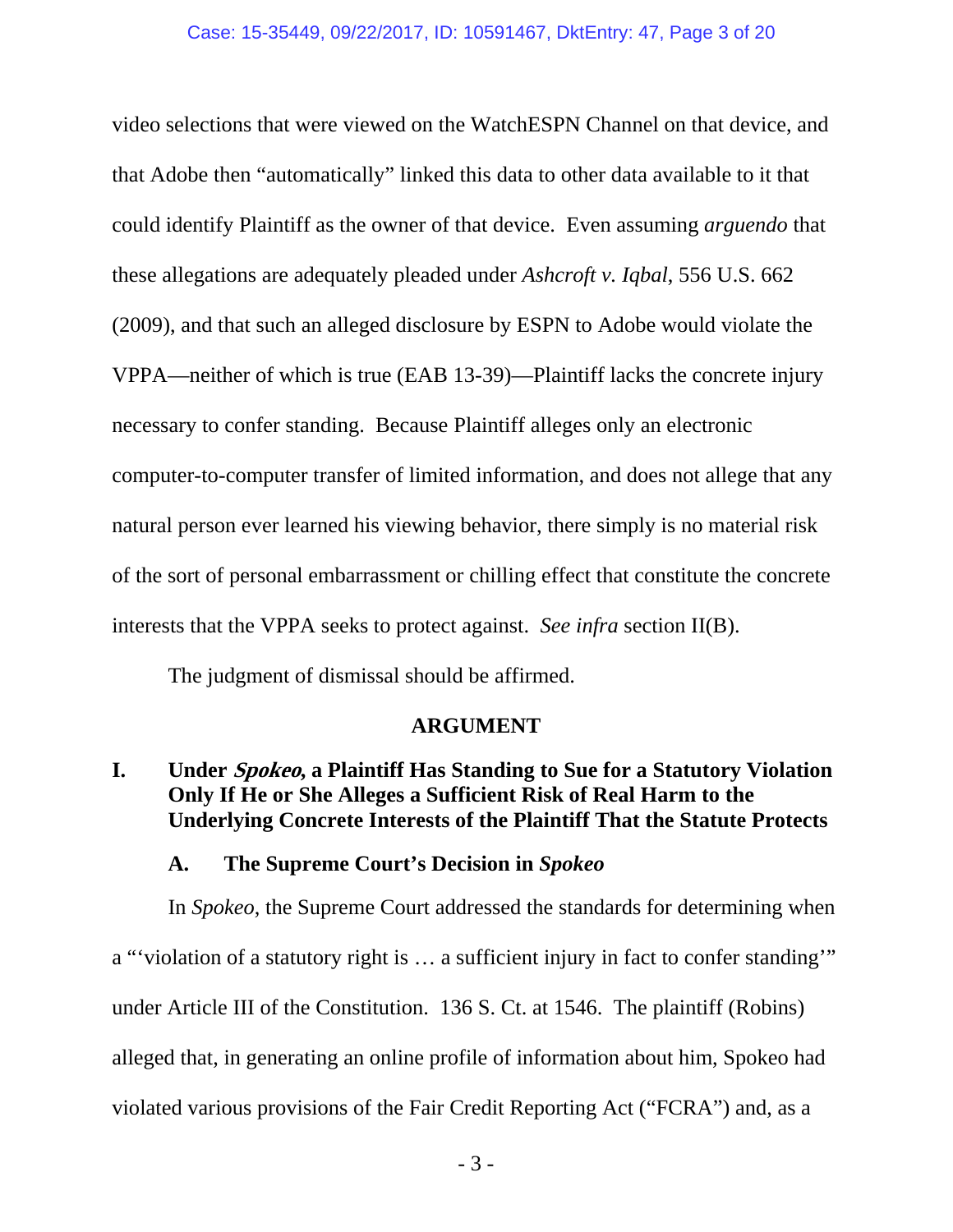video selections that were viewed on the WatchESPN Channel on that device, and that Adobe then "automatically" linked this data to other data available to it that could identify Plaintiff as the owner of that device. Even assuming *arguendo* that these allegations are adequately pleaded under *Ashcroft v. Iqbal*, 556 U.S. 662 (2009), and that such an alleged disclosure by ESPN to Adobe would violate the VPPA—neither of which is true (EAB 13-39)—Plaintiff lacks the concrete injury necessary to confer standing. Because Plaintiff alleges only an electronic computer-to-computer transfer of limited information, and does not allege that any natural person ever learned his viewing behavior, there simply is no material risk of the sort of personal embarrassment or chilling effect that constitute the concrete interests that the VPPA seeks to protect against. *See infra* section II(B).

The judgment of dismissal should be affirmed.

# **ARGUMENT**

# **I. Under Spokeo, a Plaintiff Has Standing to Sue for a Statutory Violation Only If He or She Alleges a Sufficient Risk of Real Harm to the Underlying Concrete Interests of the Plaintiff That the Statute Protects**

# **A. The Supreme Court's Decision in** *Spokeo*

In *Spokeo*, the Supreme Court addressed the standards for determining when a "'violation of a statutory right is … a sufficient injury in fact to confer standing'" under Article III of the Constitution. 136 S. Ct. at 1546. The plaintiff (Robins) alleged that, in generating an online profile of information about him, Spokeo had violated various provisions of the Fair Credit Reporting Act ("FCRA") and, as a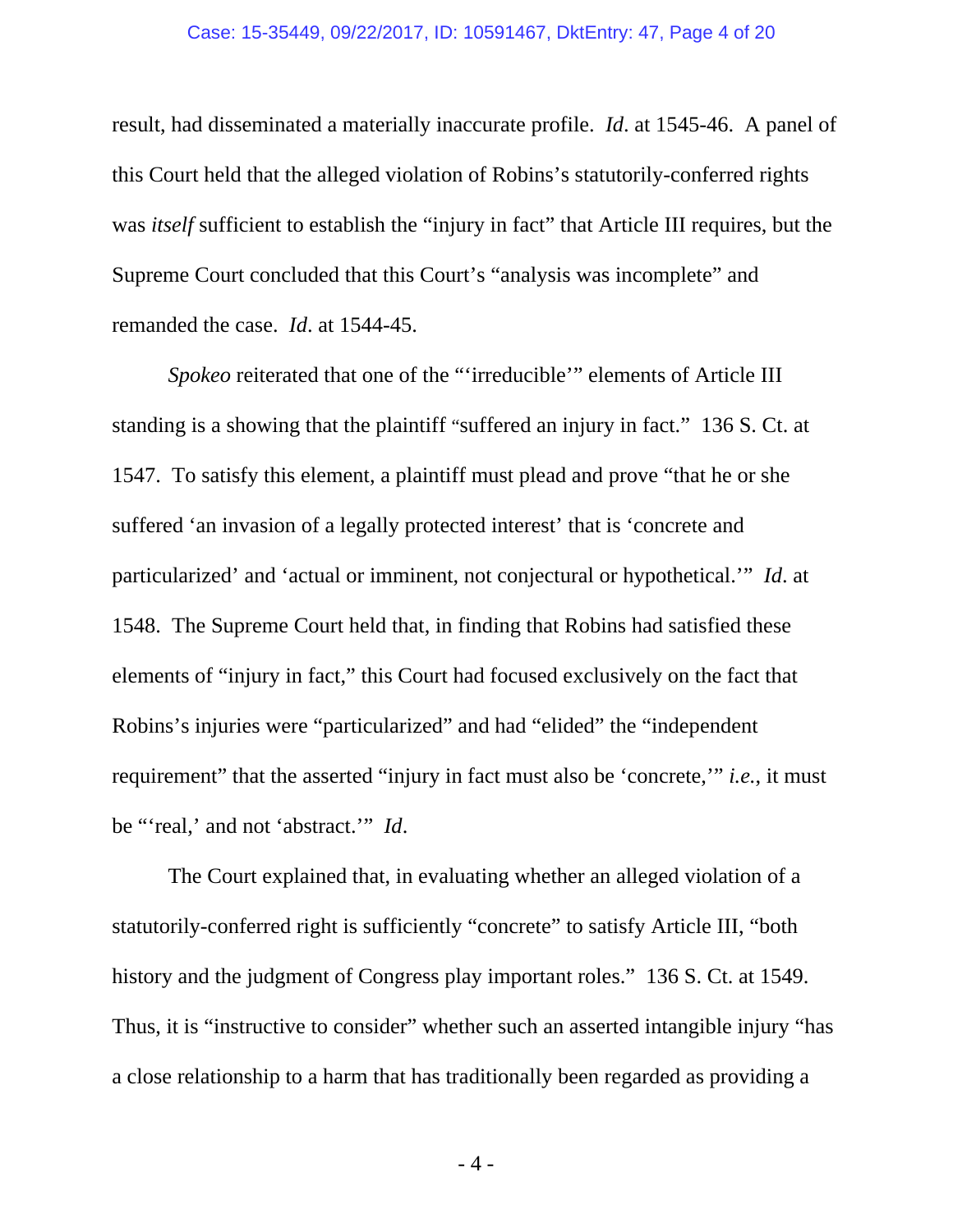### Case: 15-35449, 09/22/2017, ID: 10591467, DktEntry: 47, Page 4 of 20

result, had disseminated a materially inaccurate profile. *Id*. at 1545-46. A panel of this Court held that the alleged violation of Robins's statutorily-conferred rights was *itself* sufficient to establish the "injury in fact" that Article III requires, but the Supreme Court concluded that this Court's "analysis was incomplete" and remanded the case. *Id*. at 1544-45.

*Spokeo* reiterated that one of the "'irreducible'" elements of Article III standing is a showing that the plaintiff "suffered an injury in fact." 136 S. Ct. at 1547. To satisfy this element, a plaintiff must plead and prove "that he or she suffered 'an invasion of a legally protected interest' that is 'concrete and particularized' and 'actual or imminent, not conjectural or hypothetical.'" *Id*. at 1548. The Supreme Court held that, in finding that Robins had satisfied these elements of "injury in fact," this Court had focused exclusively on the fact that Robins's injuries were "particularized" and had "elided" the "independent requirement" that the asserted "injury in fact must also be 'concrete,'" *i.e.*, it must be "'real,' and not 'abstract.'" *Id*.

The Court explained that, in evaluating whether an alleged violation of a statutorily-conferred right is sufficiently "concrete" to satisfy Article III, "both history and the judgment of Congress play important roles." 136 S. Ct. at 1549. Thus, it is "instructive to consider" whether such an asserted intangible injury "has a close relationship to a harm that has traditionally been regarded as providing a

- 4 -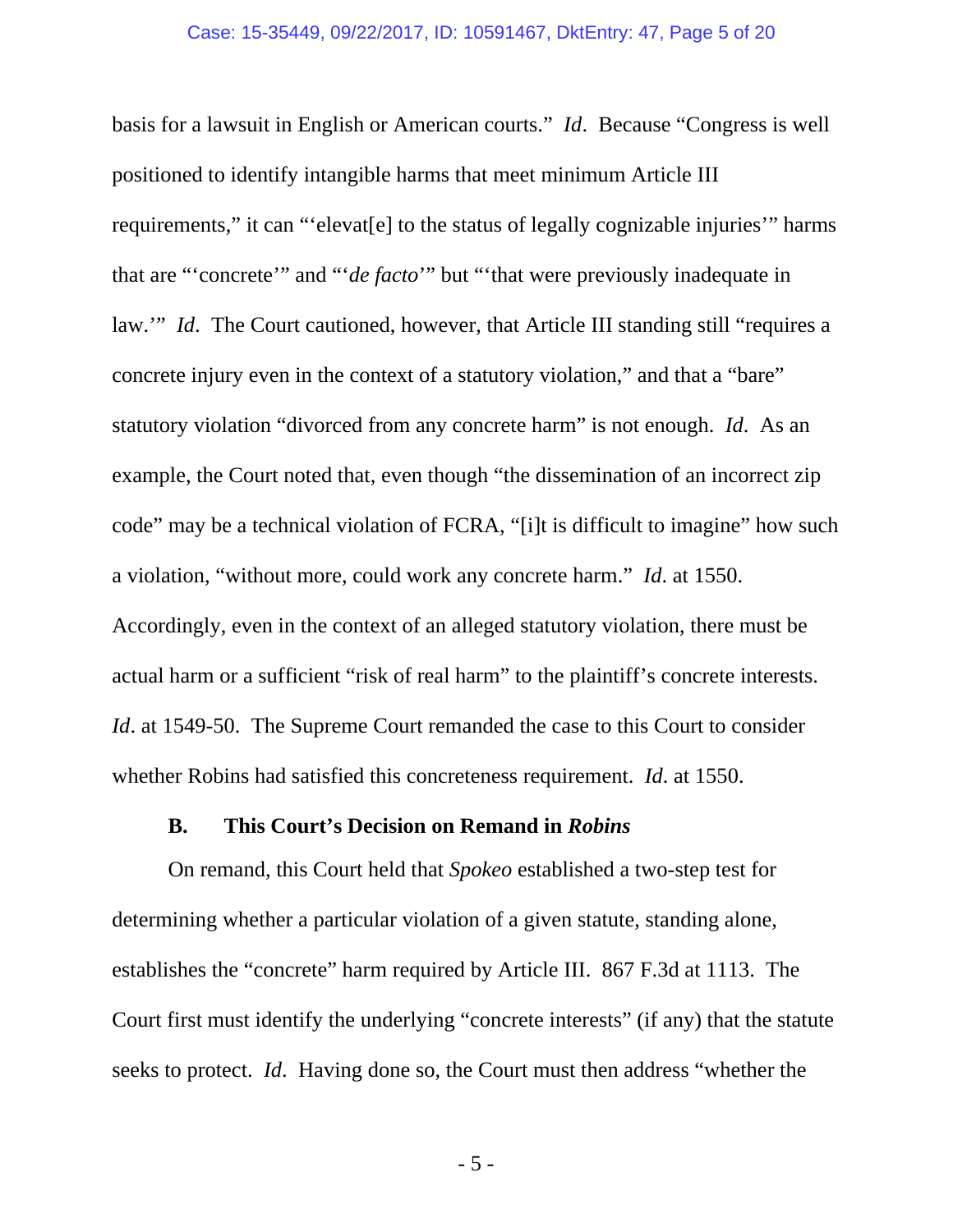basis for a lawsuit in English or American courts." *Id*. Because "Congress is well positioned to identify intangible harms that meet minimum Article III requirements," it can "'elevat[e] to the status of legally cognizable injuries'" harms that are "'concrete'" and "'*de facto*'" but "'that were previously inadequate in law.'" *Id*. The Court cautioned, however, that Article III standing still "requires a concrete injury even in the context of a statutory violation," and that a "bare" statutory violation "divorced from any concrete harm" is not enough. *Id*. As an example, the Court noted that, even though "the dissemination of an incorrect zip code" may be a technical violation of FCRA, "[i]t is difficult to imagine" how such a violation, "without more, could work any concrete harm." *Id*. at 1550. Accordingly, even in the context of an alleged statutory violation, there must be actual harm or a sufficient "risk of real harm" to the plaintiff's concrete interests. *Id.* at 1549-50. The Supreme Court remanded the case to this Court to consider whether Robins had satisfied this concreteness requirement. *Id*. at 1550.

### **B. This Court's Decision on Remand in** *Robins*

On remand, this Court held that *Spokeo* established a two-step test for determining whether a particular violation of a given statute, standing alone, establishes the "concrete" harm required by Article III. 867 F.3d at 1113. The Court first must identify the underlying "concrete interests" (if any) that the statute seeks to protect. *Id*. Having done so, the Court must then address "whether the

- 5 -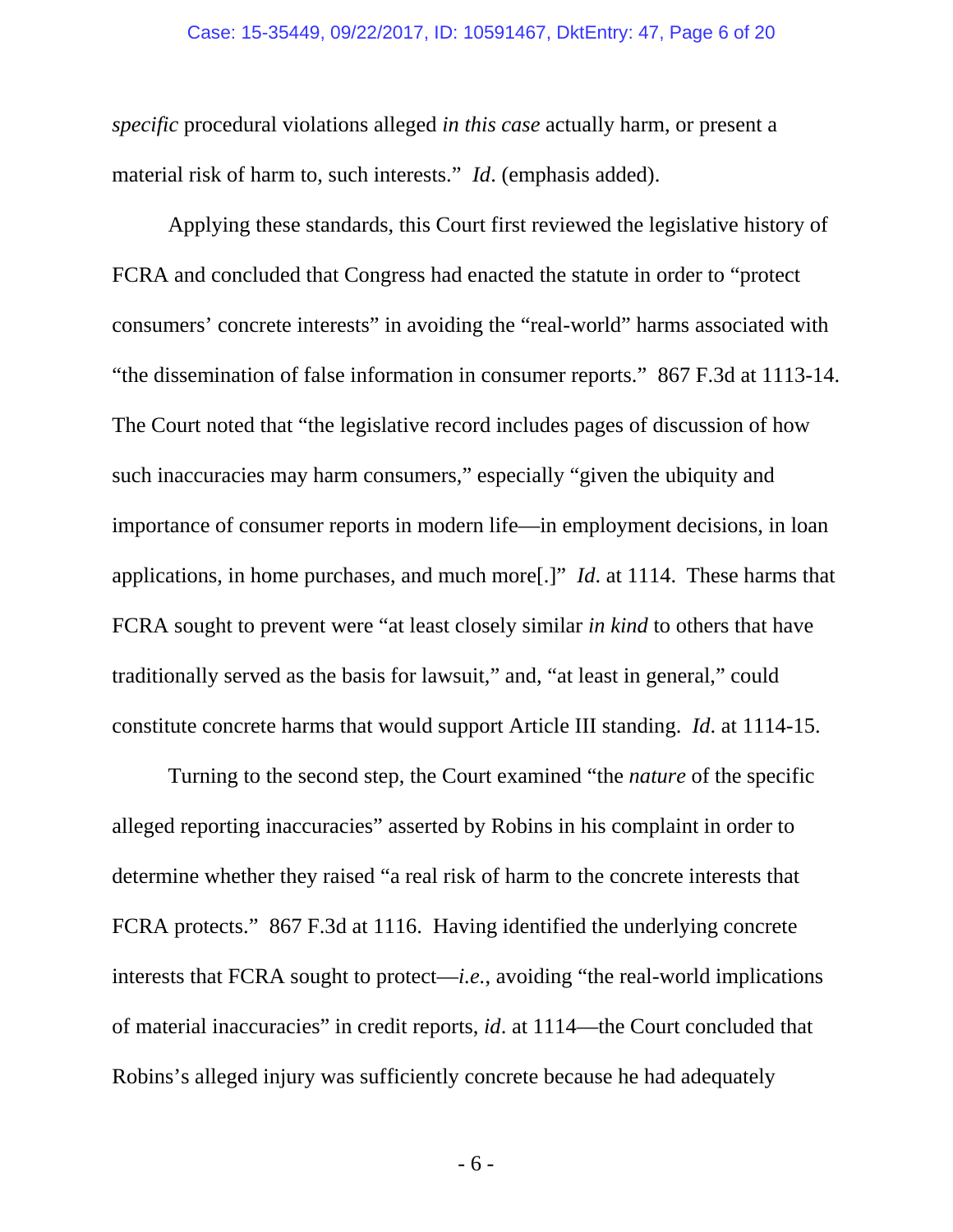### Case: 15-35449, 09/22/2017, ID: 10591467, DktEntry: 47, Page 6 of 20

*specific* procedural violations alleged *in this case* actually harm, or present a material risk of harm to, such interests." *Id*. (emphasis added).

Applying these standards, this Court first reviewed the legislative history of FCRA and concluded that Congress had enacted the statute in order to "protect consumers' concrete interests" in avoiding the "real-world" harms associated with "the dissemination of false information in consumer reports." 867 F.3d at 1113-14. The Court noted that "the legislative record includes pages of discussion of how such inaccuracies may harm consumers," especially "given the ubiquity and importance of consumer reports in modern life—in employment decisions, in loan applications, in home purchases, and much more[.]" *Id*. at 1114. These harms that FCRA sought to prevent were "at least closely similar *in kind* to others that have traditionally served as the basis for lawsuit," and, "at least in general," could constitute concrete harms that would support Article III standing. *Id*. at 1114-15.

Turning to the second step, the Court examined "the *nature* of the specific alleged reporting inaccuracies" asserted by Robins in his complaint in order to determine whether they raised "a real risk of harm to the concrete interests that FCRA protects." 867 F.3d at 1116. Having identified the underlying concrete interests that FCRA sought to protect—*i.e.*, avoiding "the real-world implications of material inaccuracies" in credit reports, *id*. at 1114—the Court concluded that Robins's alleged injury was sufficiently concrete because he had adequately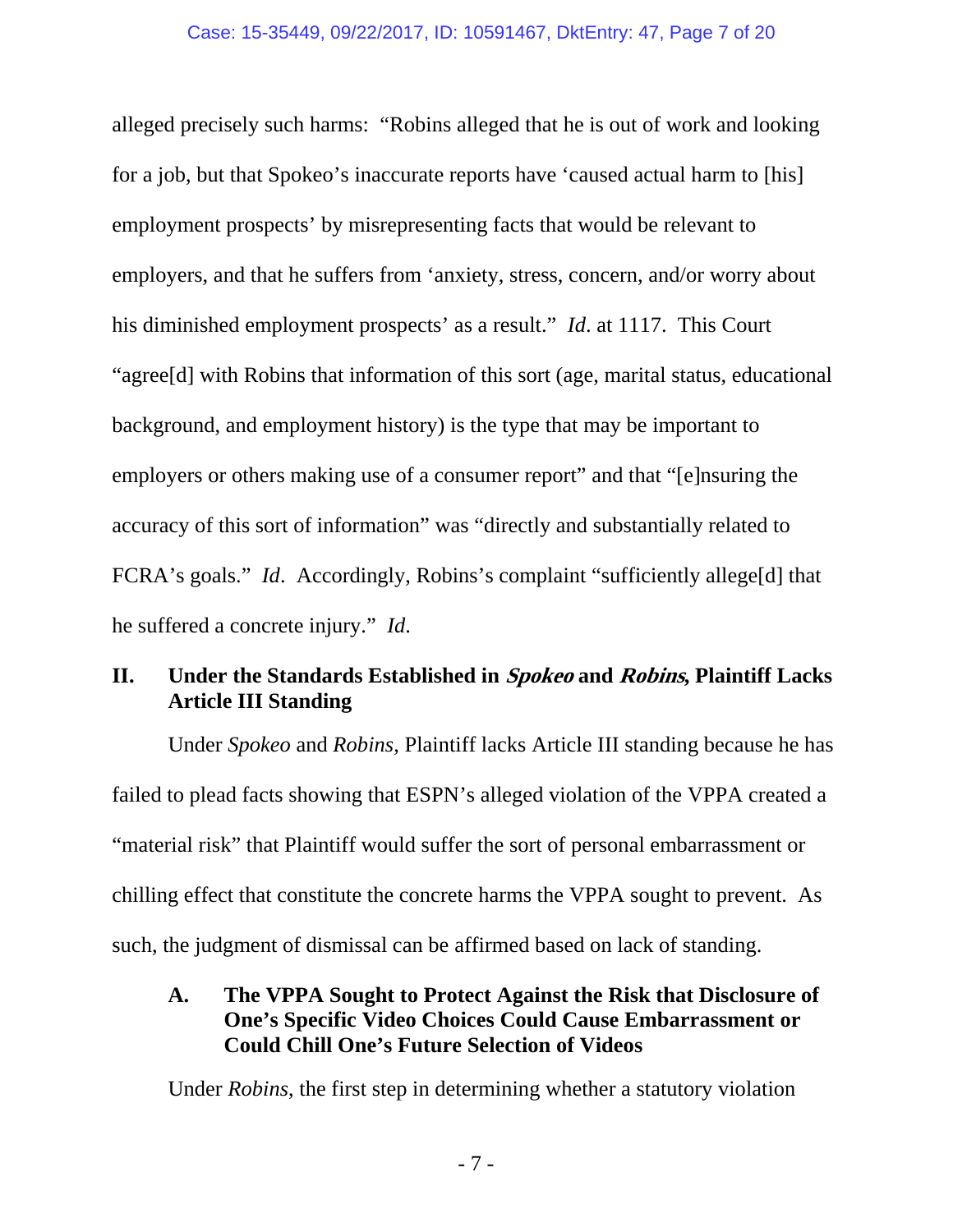alleged precisely such harms: "Robins alleged that he is out of work and looking for a job, but that Spokeo's inaccurate reports have 'caused actual harm to [his] employment prospects' by misrepresenting facts that would be relevant to employers, and that he suffers from 'anxiety, stress, concern, and/or worry about his diminished employment prospects' as a result." *Id*. at 1117. This Court "agree[d] with Robins that information of this sort (age, marital status, educational background, and employment history) is the type that may be important to employers or others making use of a consumer report" and that "[e]nsuring the accuracy of this sort of information" was "directly and substantially related to FCRA's goals." *Id*. Accordingly, Robins's complaint "sufficiently allege[d] that he suffered a concrete injury." *Id*.

# **II. Under the Standards Established in Spokeo and Robins, Plaintiff Lacks Article III Standing**

Under *Spokeo* and *Robins*, Plaintiff lacks Article III standing because he has failed to plead facts showing that ESPN's alleged violation of the VPPA created a "material risk" that Plaintiff would suffer the sort of personal embarrassment or chilling effect that constitute the concrete harms the VPPA sought to prevent. As such, the judgment of dismissal can be affirmed based on lack of standing.

**A. The VPPA Sought to Protect Against the Risk that Disclosure of One's Specific Video Choices Could Cause Embarrassment or Could Chill One's Future Selection of Videos** 

Under *Robins*, the first step in determining whether a statutory violation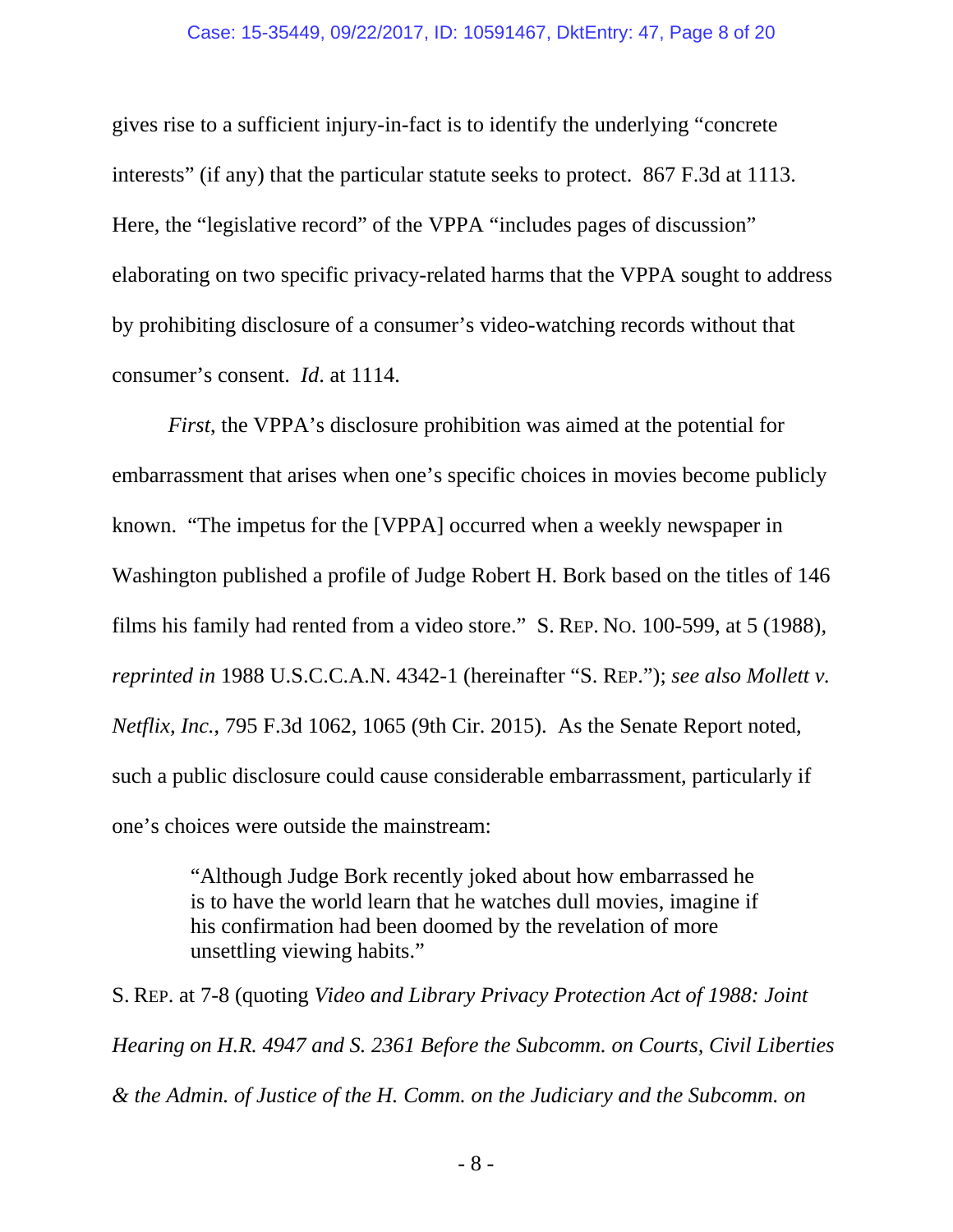### Case: 15-35449, 09/22/2017, ID: 10591467, DktEntry: 47, Page 8 of 20

gives rise to a sufficient injury-in-fact is to identify the underlying "concrete interests" (if any) that the particular statute seeks to protect. 867 F.3d at 1113. Here, the "legislative record" of the VPPA "includes pages of discussion" elaborating on two specific privacy-related harms that the VPPA sought to address by prohibiting disclosure of a consumer's video-watching records without that consumer's consent. *Id*. at 1114.

*First*, the VPPA's disclosure prohibition was aimed at the potential for embarrassment that arises when one's specific choices in movies become publicly known. "The impetus for the [VPPA] occurred when a weekly newspaper in Washington published a profile of Judge Robert H. Bork based on the titles of 146 films his family had rented from a video store." S. REP. NO. 100-599, at 5 (1988), *reprinted in* 1988 U.S.C.C.A.N. 4342-1 (hereinafter "S. REP."); *see also Mollett v. Netflix, Inc.*, 795 F.3d 1062, 1065 (9th Cir. 2015). As the Senate Report noted, such a public disclosure could cause considerable embarrassment, particularly if one's choices were outside the mainstream:

> "Although Judge Bork recently joked about how embarrassed he is to have the world learn that he watches dull movies, imagine if his confirmation had been doomed by the revelation of more unsettling viewing habits."

S. REP. at 7-8 (quoting *Video and Library Privacy Protection Act of 1988: Joint Hearing on H.R. 4947 and S. 2361 Before the Subcomm. on Courts, Civil Liberties & the Admin. of Justice of the H. Comm. on the Judiciary and the Subcomm. on* 

- 8 -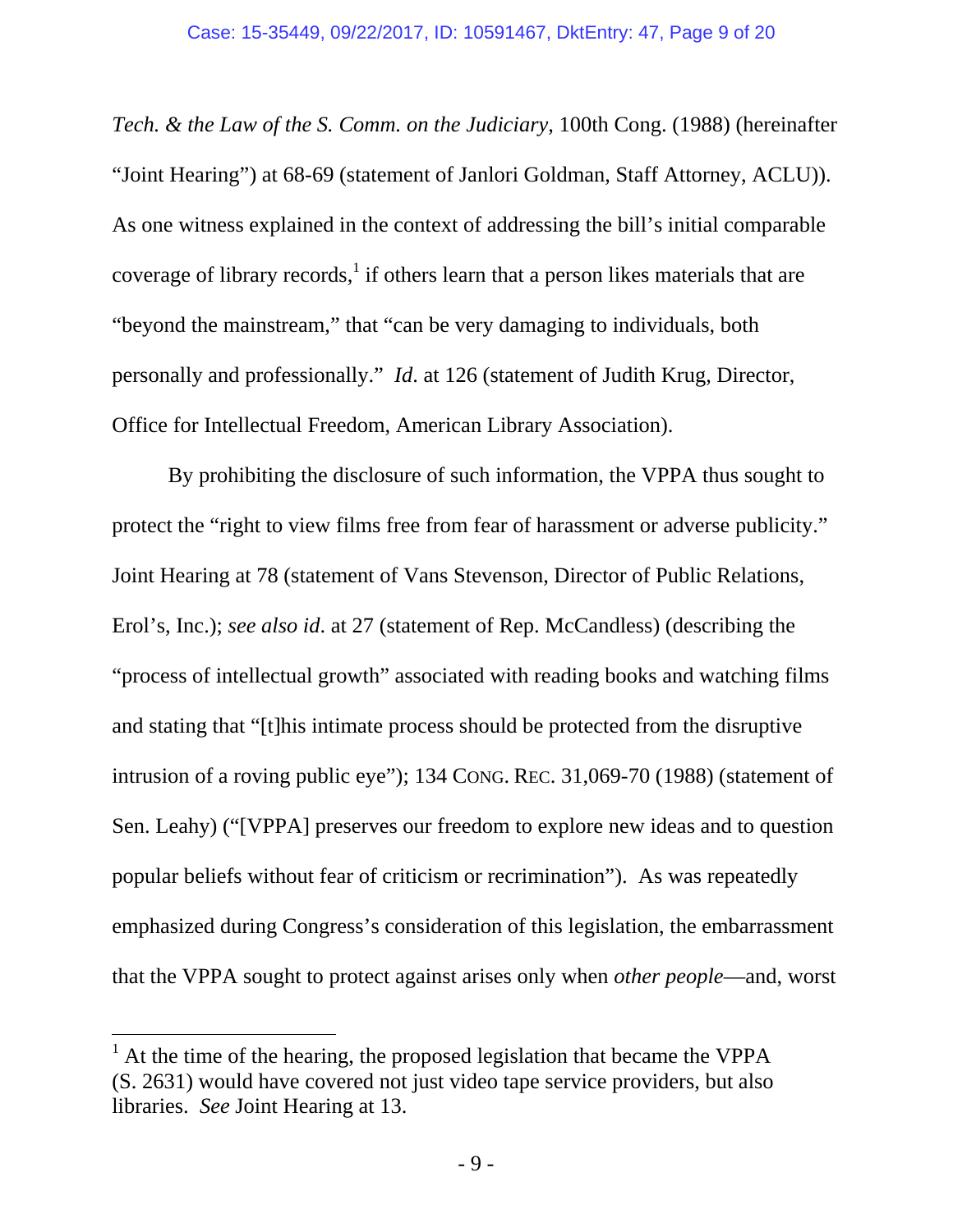*Tech. & the Law of the S. Comm. on the Judiciary*, 100th Cong. (1988) (hereinafter "Joint Hearing") at 68-69 (statement of Janlori Goldman, Staff Attorney, ACLU)). As one witness explained in the context of addressing the bill's initial comparable coverage of library records,  $\frac{1}{1}$  if others learn that a person likes materials that are "beyond the mainstream," that "can be very damaging to individuals, both personally and professionally." *Id*. at 126 (statement of Judith Krug, Director, Office for Intellectual Freedom, American Library Association).

By prohibiting the disclosure of such information, the VPPA thus sought to protect the "right to view films free from fear of harassment or adverse publicity." Joint Hearing at 78 (statement of Vans Stevenson, Director of Public Relations, Erol's, Inc.); *see also id*. at 27 (statement of Rep. McCandless) (describing the "process of intellectual growth" associated with reading books and watching films and stating that "[t]his intimate process should be protected from the disruptive intrusion of a roving public eye"); 134 CONG. REC. 31,069-70 (1988) (statement of Sen. Leahy) ("[VPPA] preserves our freedom to explore new ideas and to question popular beliefs without fear of criticism or recrimination"). As was repeatedly emphasized during Congress's consideration of this legislation, the embarrassment that the VPPA sought to protect against arises only when *other people*—and, worst

 $<sup>1</sup>$  At the time of the hearing, the proposed legislation that became the VPPA</sup> (S. 2631) would have covered not just video tape service providers, but also libraries. *See* Joint Hearing at 13.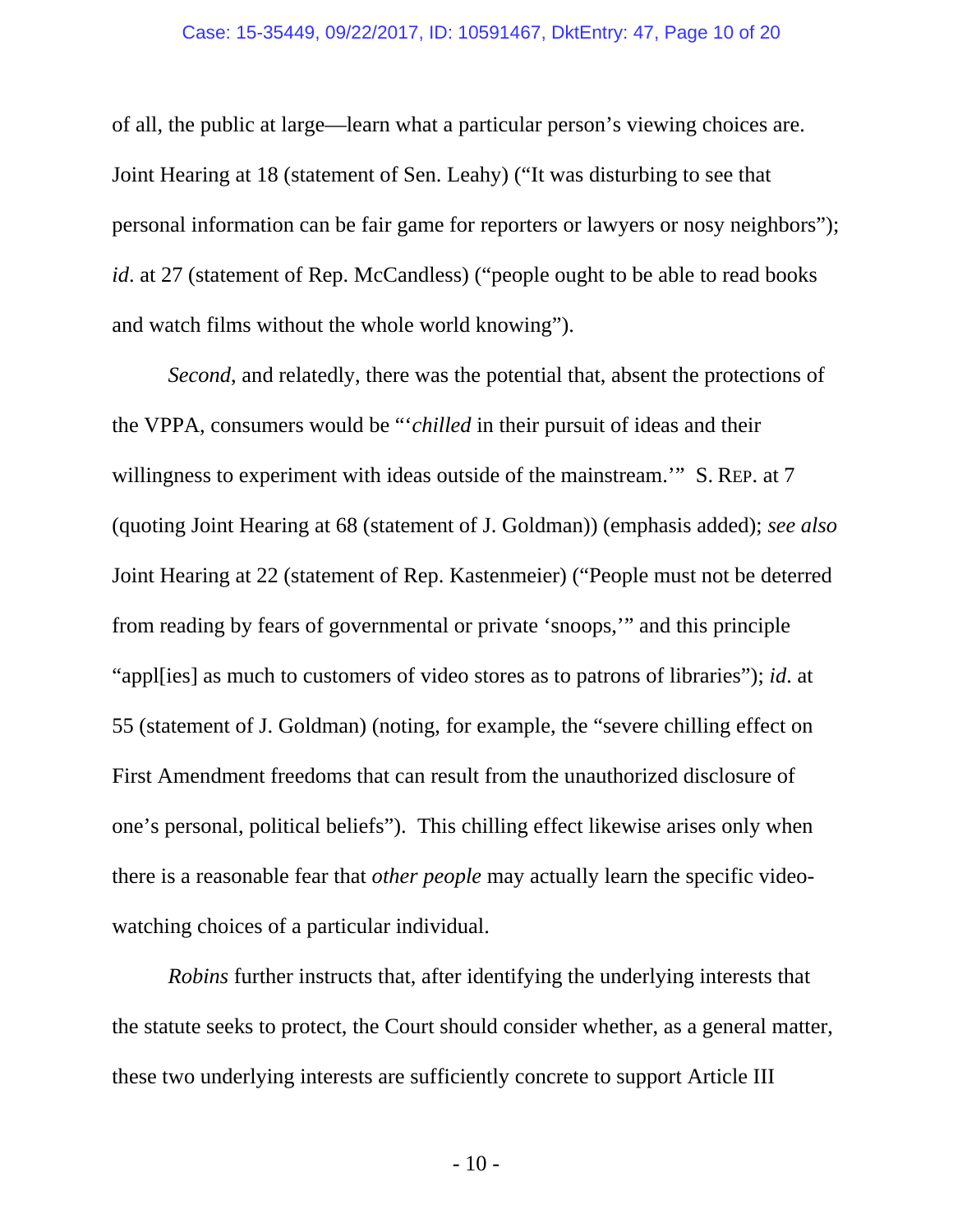#### Case: 15-35449, 09/22/2017, ID: 10591467, DktEntry: 47, Page 10 of 20

of all, the public at large—learn what a particular person's viewing choices are. Joint Hearing at 18 (statement of Sen. Leahy) ("It was disturbing to see that personal information can be fair game for reporters or lawyers or nosy neighbors"); *id*. at 27 (statement of Rep. McCandless) ("people ought to be able to read books and watch films without the whole world knowing").

*Second*, and relatedly, there was the potential that, absent the protections of the VPPA, consumers would be "'*chilled* in their pursuit of ideas and their willingness to experiment with ideas outside of the mainstream." S. REP. at 7 (quoting Joint Hearing at 68 (statement of J. Goldman)) (emphasis added); *see also* Joint Hearing at 22 (statement of Rep. Kastenmeier) ("People must not be deterred from reading by fears of governmental or private 'snoops,'" and this principle "appl[ies] as much to customers of video stores as to patrons of libraries"); *id*. at 55 (statement of J. Goldman) (noting, for example, the "severe chilling effect on First Amendment freedoms that can result from the unauthorized disclosure of one's personal, political beliefs"). This chilling effect likewise arises only when there is a reasonable fear that *other people* may actually learn the specific videowatching choices of a particular individual.

*Robins* further instructs that, after identifying the underlying interests that the statute seeks to protect, the Court should consider whether, as a general matter, these two underlying interests are sufficiently concrete to support Article III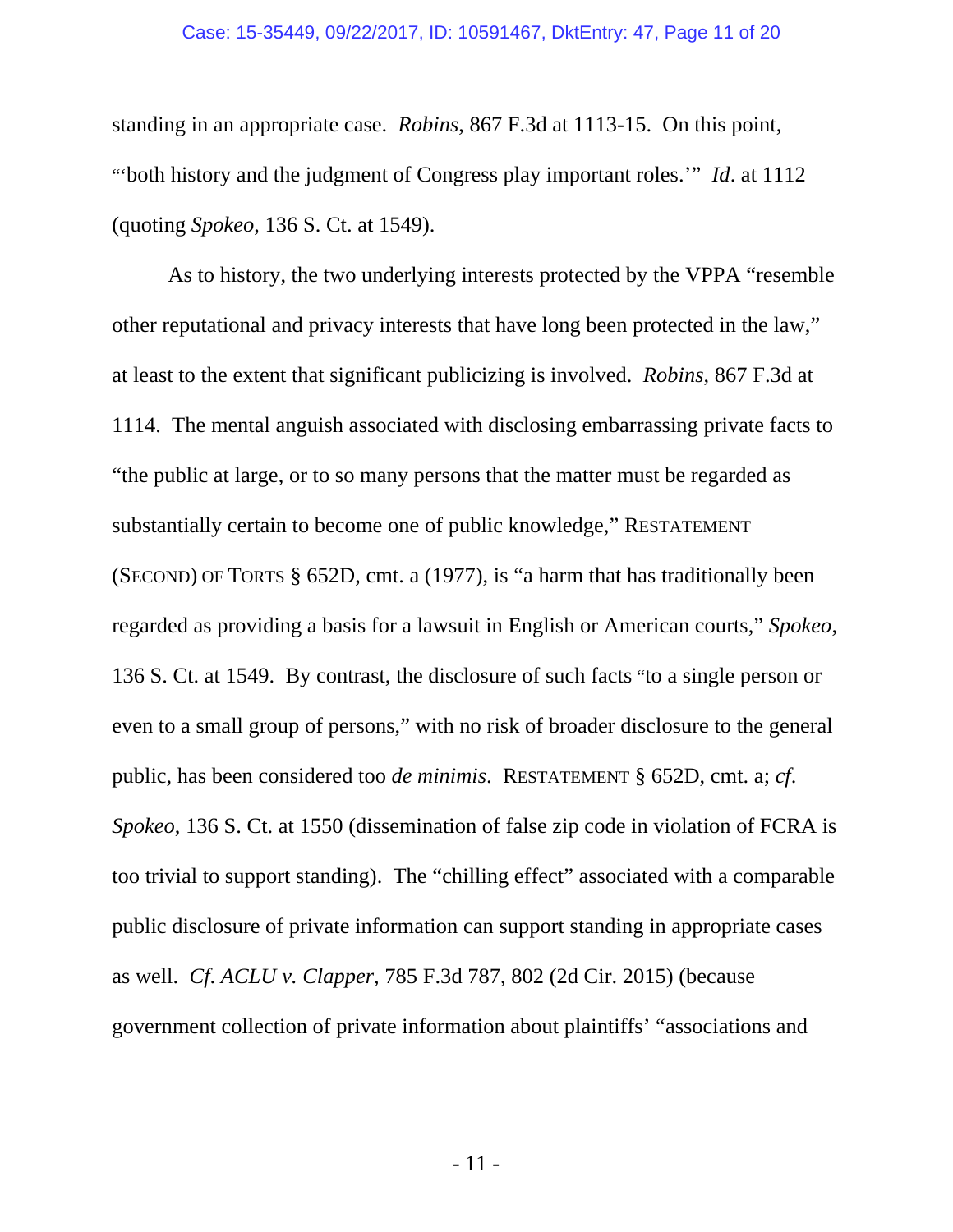### Case: 15-35449, 09/22/2017, ID: 10591467, DktEntry: 47, Page 11 of 20

standing in an appropriate case. *Robins*, 867 F.3d at 1113-15. On this point, "'both history and the judgment of Congress play important roles.'" *Id*. at 1112 (quoting *Spokeo*, 136 S. Ct. at 1549).

As to history, the two underlying interests protected by the VPPA "resemble other reputational and privacy interests that have long been protected in the law," at least to the extent that significant publicizing is involved. *Robins*, 867 F.3d at 1114. The mental anguish associated with disclosing embarrassing private facts to "the public at large, or to so many persons that the matter must be regarded as substantially certain to become one of public knowledge," RESTATEMENT (SECOND) OF TORTS § 652D, cmt. a (1977), is "a harm that has traditionally been regarded as providing a basis for a lawsuit in English or American courts," *Spokeo*, 136 S. Ct. at 1549. By contrast, the disclosure of such facts "to a single person or even to a small group of persons," with no risk of broader disclosure to the general public, has been considered too *de minimis*. RESTATEMENT § 652D, cmt. a; *cf*. *Spokeo*, 136 S. Ct. at 1550 (dissemination of false zip code in violation of FCRA is too trivial to support standing). The "chilling effect" associated with a comparable public disclosure of private information can support standing in appropriate cases as well. *Cf*. *ACLU v. Clapper*, 785 F.3d 787, 802 (2d Cir. 2015) (because government collection of private information about plaintiffs' "associations and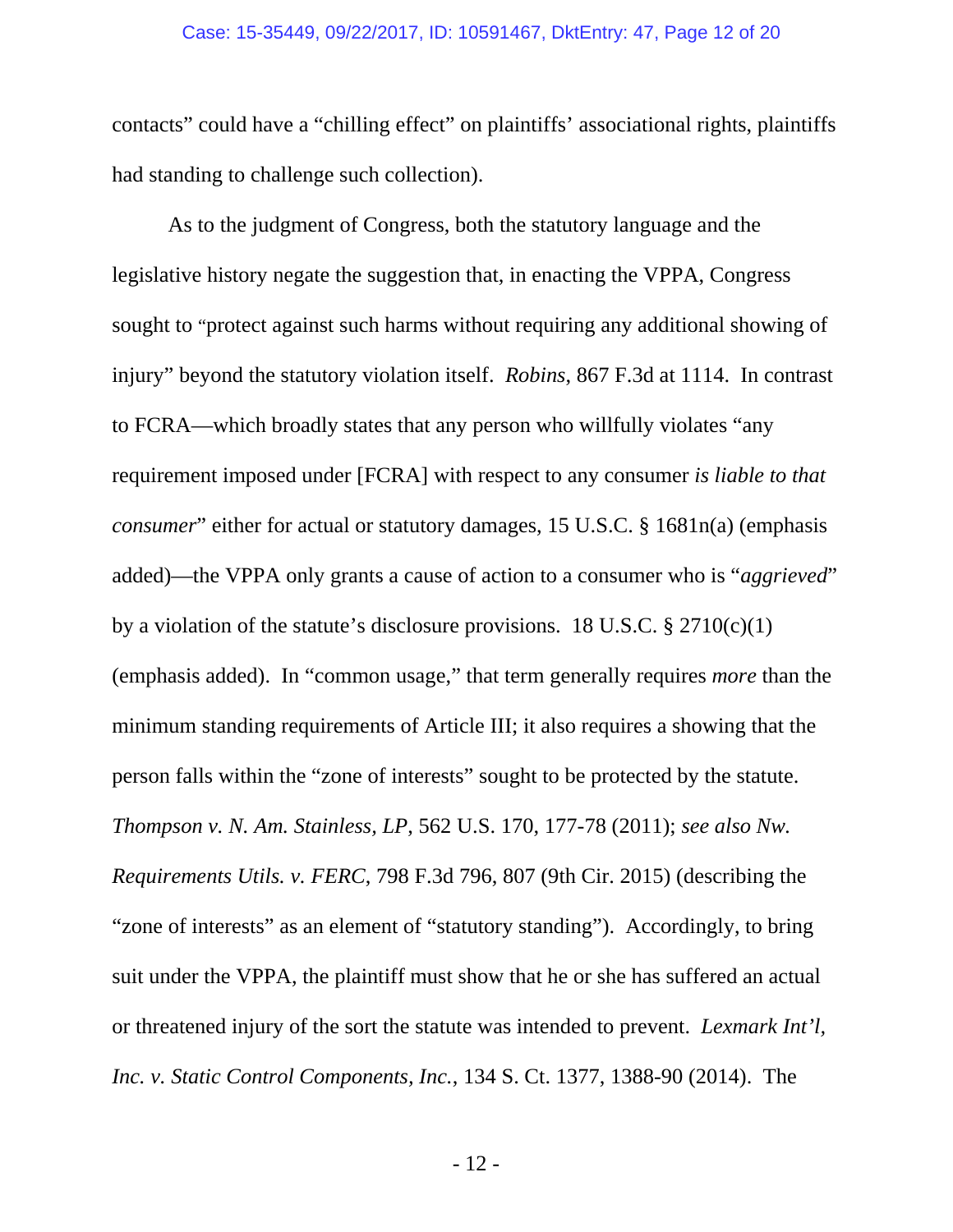### Case: 15-35449, 09/22/2017, ID: 10591467, DktEntry: 47, Page 12 of 20

contacts" could have a "chilling effect" on plaintiffs' associational rights, plaintiffs had standing to challenge such collection).

As to the judgment of Congress, both the statutory language and the legislative history negate the suggestion that, in enacting the VPPA, Congress sought to "protect against such harms without requiring any additional showing of injury" beyond the statutory violation itself. *Robins*, 867 F.3d at 1114. In contrast to FCRA—which broadly states that any person who willfully violates "any requirement imposed under [FCRA] with respect to any consumer *is liable to that consumer*" either for actual or statutory damages, 15 U.S.C. § 1681n(a) (emphasis added)—the VPPA only grants a cause of action to a consumer who is "*aggrieved*" by a violation of the statute's disclosure provisions. 18 U.S.C.  $\S 2710(c)(1)$ (emphasis added). In "common usage," that term generally requires *more* than the minimum standing requirements of Article III; it also requires a showing that the person falls within the "zone of interests" sought to be protected by the statute. *Thompson v. N. Am. Stainless, LP*, 562 U.S. 170, 177-78 (2011); *see also Nw. Requirements Utils. v. FERC*, 798 F.3d 796, 807 (9th Cir. 2015) (describing the "zone of interests" as an element of "statutory standing"). Accordingly, to bring suit under the VPPA, the plaintiff must show that he or she has suffered an actual or threatened injury of the sort the statute was intended to prevent. *Lexmark Int'l, Inc. v. Static Control Components, Inc.*, 134 S. Ct. 1377, 1388-90 (2014). The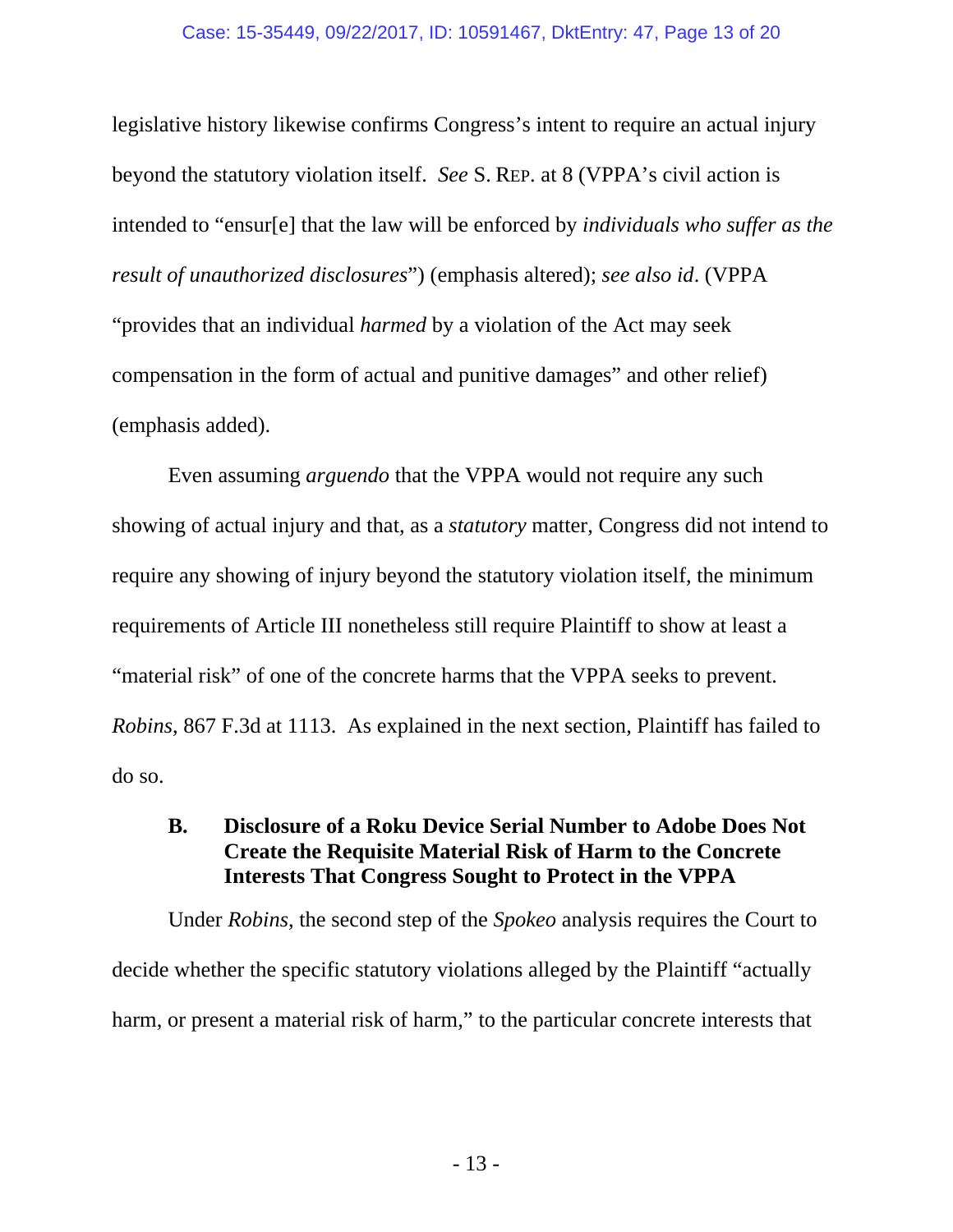legislative history likewise confirms Congress's intent to require an actual injury beyond the statutory violation itself. *See* S. REP. at 8 (VPPA's civil action is intended to "ensur[e] that the law will be enforced by *individuals who suffer as the result of unauthorized disclosures*") (emphasis altered); *see also id*. (VPPA "provides that an individual *harmed* by a violation of the Act may seek compensation in the form of actual and punitive damages" and other relief) (emphasis added).

Even assuming *arguendo* that the VPPA would not require any such showing of actual injury and that, as a *statutory* matter, Congress did not intend to require any showing of injury beyond the statutory violation itself, the minimum requirements of Article III nonetheless still require Plaintiff to show at least a "material risk" of one of the concrete harms that the VPPA seeks to prevent. *Robins*, 867 F.3d at 1113. As explained in the next section, Plaintiff has failed to do so.

# **B. Disclosure of a Roku Device Serial Number to Adobe Does Not Create the Requisite Material Risk of Harm to the Concrete Interests That Congress Sought to Protect in the VPPA**

Under *Robins*, the second step of the *Spokeo* analysis requires the Court to decide whether the specific statutory violations alleged by the Plaintiff "actually harm, or present a material risk of harm," to the particular concrete interests that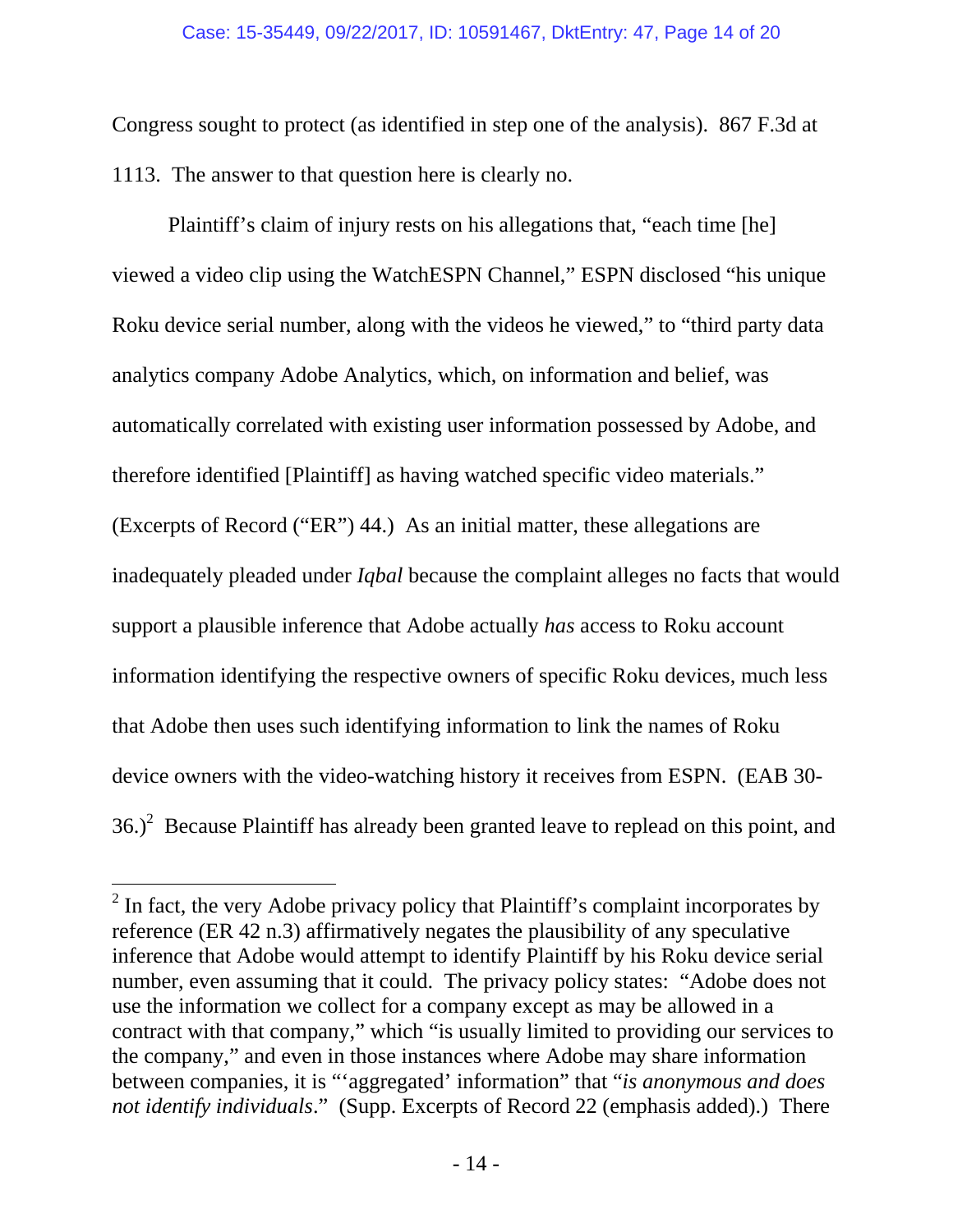Congress sought to protect (as identified in step one of the analysis). 867 F.3d at 1113. The answer to that question here is clearly no.

Plaintiff's claim of injury rests on his allegations that, "each time [he] viewed a video clip using the WatchESPN Channel," ESPN disclosed "his unique Roku device serial number, along with the videos he viewed," to "third party data analytics company Adobe Analytics, which, on information and belief, was automatically correlated with existing user information possessed by Adobe, and therefore identified [Plaintiff] as having watched specific video materials." (Excerpts of Record ("ER") 44.) As an initial matter, these allegations are inadequately pleaded under *Iqbal* because the complaint alleges no facts that would support a plausible inference that Adobe actually *has* access to Roku account information identifying the respective owners of specific Roku devices, much less that Adobe then uses such identifying information to link the names of Roku device owners with the video-watching history it receives from ESPN. (EAB 30-  $36.<sup>2</sup>$  Because Plaintiff has already been granted leave to replead on this point, and

 $2$  In fact, the very Adobe privacy policy that Plaintiff's complaint incorporates by reference (ER 42 n.3) affirmatively negates the plausibility of any speculative inference that Adobe would attempt to identify Plaintiff by his Roku device serial number, even assuming that it could. The privacy policy states: "Adobe does not use the information we collect for a company except as may be allowed in a contract with that company," which "is usually limited to providing our services to the company," and even in those instances where Adobe may share information between companies, it is "'aggregated' information" that "*is anonymous and does not identify individuals*." (Supp. Excerpts of Record 22 (emphasis added).) There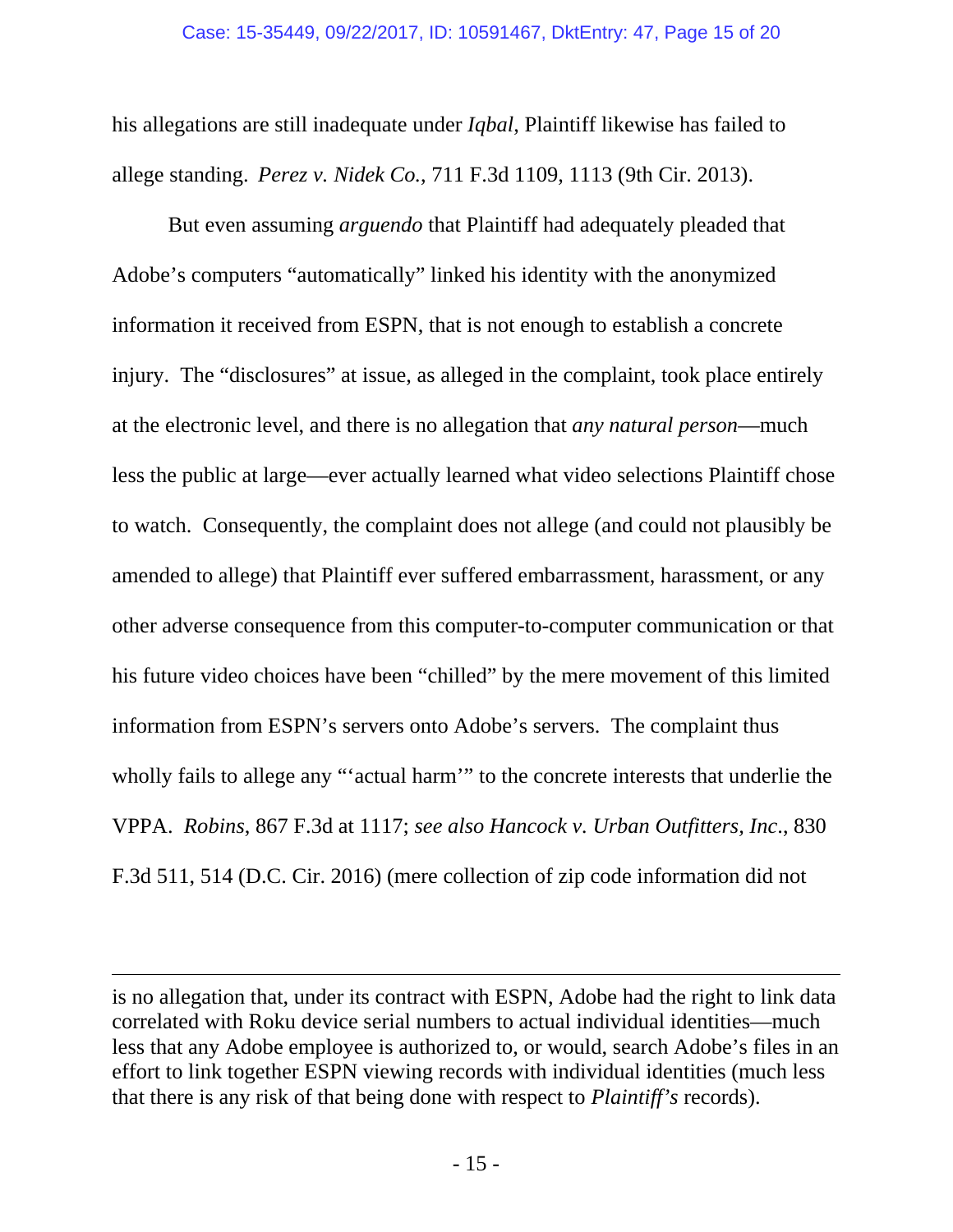his allegations are still inadequate under *Iqbal*, Plaintiff likewise has failed to allege standing. *Perez v. Nidek Co.*, 711 F.3d 1109, 1113 (9th Cir. 2013).

But even assuming *arguendo* that Plaintiff had adequately pleaded that Adobe's computers "automatically" linked his identity with the anonymized information it received from ESPN, that is not enough to establish a concrete injury. The "disclosures" at issue, as alleged in the complaint, took place entirely at the electronic level, and there is no allegation that *any natural person*—much less the public at large—ever actually learned what video selections Plaintiff chose to watch. Consequently, the complaint does not allege (and could not plausibly be amended to allege) that Plaintiff ever suffered embarrassment, harassment, or any other adverse consequence from this computer-to-computer communication or that his future video choices have been "chilled" by the mere movement of this limited information from ESPN's servers onto Adobe's servers. The complaint thus wholly fails to allege any "'actual harm'" to the concrete interests that underlie the VPPA. *Robins*, 867 F.3d at 1117; *see also Hancock v. Urban Outfitters, Inc*., 830 F.3d 511, 514 (D.C. Cir. 2016) (mere collection of zip code information did not

is no allegation that, under its contract with ESPN, Adobe had the right to link data correlated with Roku device serial numbers to actual individual identities—much less that any Adobe employee is authorized to, or would, search Adobe's files in an effort to link together ESPN viewing records with individual identities (much less that there is any risk of that being done with respect to *Plaintiff's* records).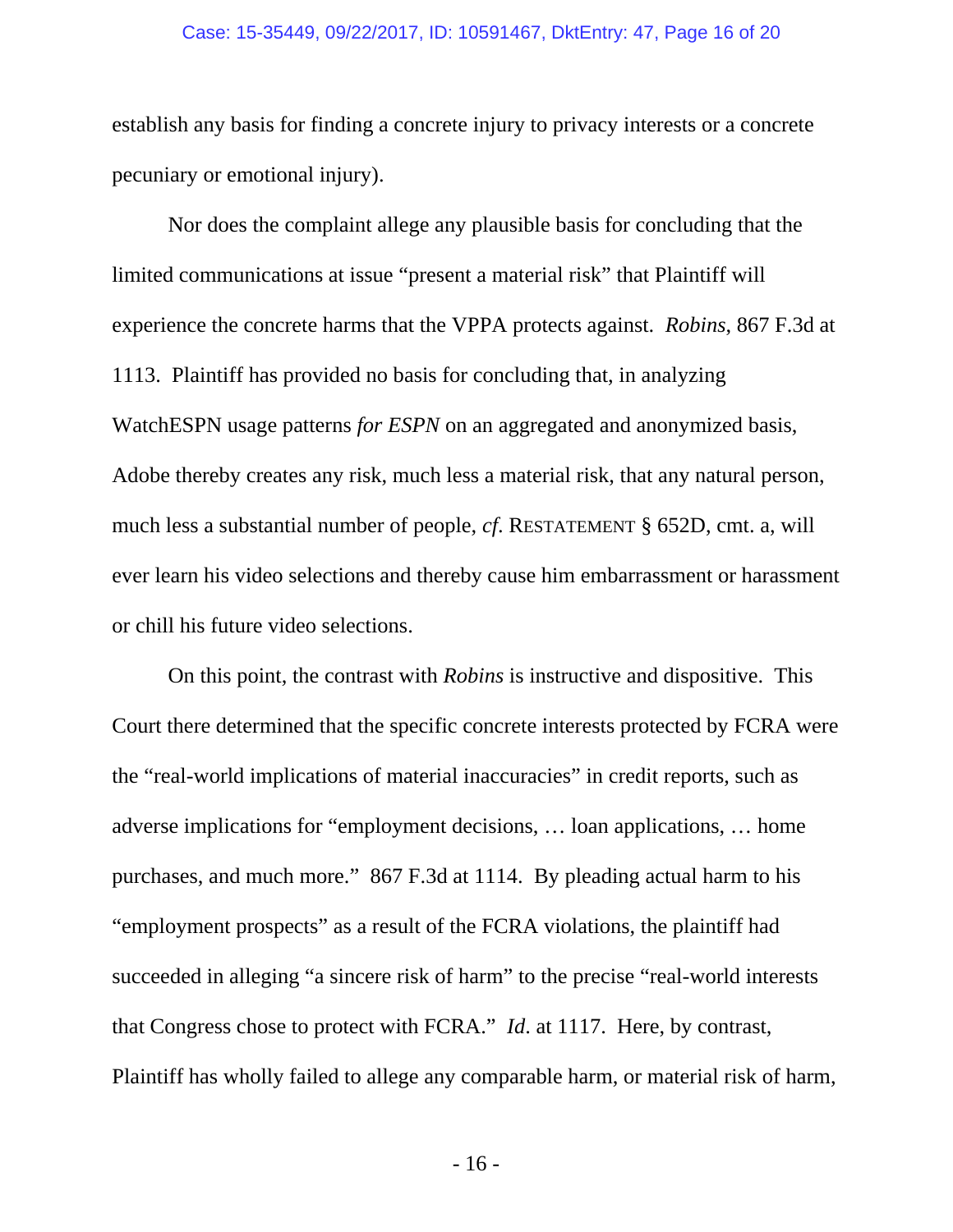#### Case: 15-35449, 09/22/2017, ID: 10591467, DktEntry: 47, Page 16 of 20

establish any basis for finding a concrete injury to privacy interests or a concrete pecuniary or emotional injury).

Nor does the complaint allege any plausible basis for concluding that the limited communications at issue "present a material risk" that Plaintiff will experience the concrete harms that the VPPA protects against. *Robins*, 867 F.3d at 1113. Plaintiff has provided no basis for concluding that, in analyzing WatchESPN usage patterns *for ESPN* on an aggregated and anonymized basis, Adobe thereby creates any risk, much less a material risk, that any natural person, much less a substantial number of people, *cf*. RESTATEMENT § 652D, cmt. a, will ever learn his video selections and thereby cause him embarrassment or harassment or chill his future video selections.

On this point, the contrast with *Robins* is instructive and dispositive. This Court there determined that the specific concrete interests protected by FCRA were the "real-world implications of material inaccuracies" in credit reports, such as adverse implications for "employment decisions, … loan applications, … home purchases, and much more." 867 F.3d at 1114. By pleading actual harm to his "employment prospects" as a result of the FCRA violations, the plaintiff had succeeded in alleging "a sincere risk of harm" to the precise "real-world interests that Congress chose to protect with FCRA." *Id*. at 1117. Here, by contrast, Plaintiff has wholly failed to allege any comparable harm, or material risk of harm,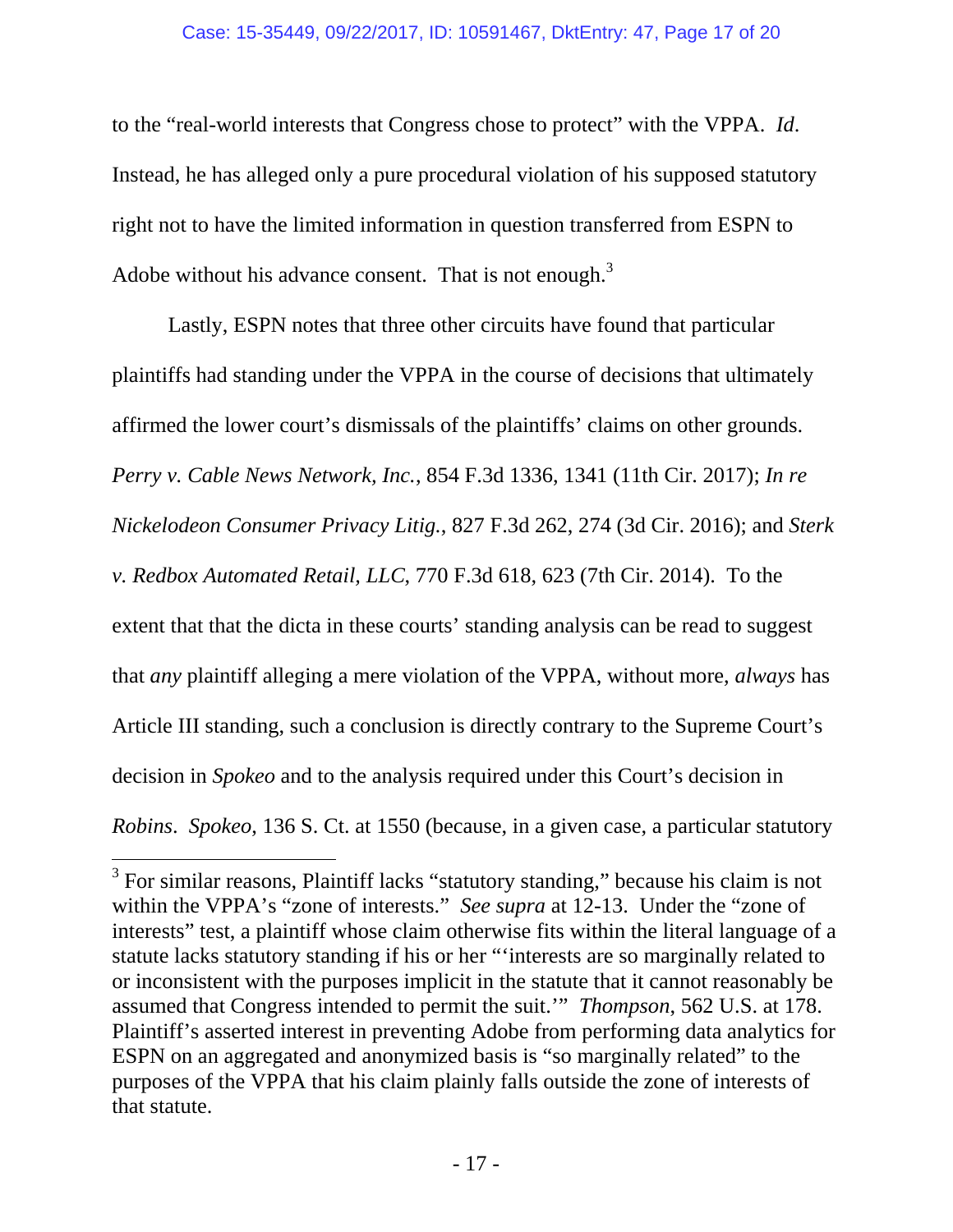### Case: 15-35449, 09/22/2017, ID: 10591467, DktEntry: 47, Page 17 of 20

to the "real-world interests that Congress chose to protect" with the VPPA. *Id*. Instead, he has alleged only a pure procedural violation of his supposed statutory right not to have the limited information in question transferred from ESPN to Adobe without his advance consent. That is not enough. $3$ 

Lastly, ESPN notes that three other circuits have found that particular plaintiffs had standing under the VPPA in the course of decisions that ultimately affirmed the lower court's dismissals of the plaintiffs' claims on other grounds. *Perry v. Cable News Network, Inc.*, 854 F.3d 1336, 1341 (11th Cir. 2017); *In re Nickelodeon Consumer Privacy Litig.*, 827 F.3d 262, 274 (3d Cir. 2016); and *Sterk v. Redbox Automated Retail, LLC*, 770 F.3d 618, 623 (7th Cir. 2014). To the extent that that the dicta in these courts' standing analysis can be read to suggest that *any* plaintiff alleging a mere violation of the VPPA, without more, *always* has Article III standing, such a conclusion is directly contrary to the Supreme Court's decision in *Spokeo* and to the analysis required under this Court's decision in *Robins*. *Spokeo*, 136 S. Ct. at 1550 (because, in a given case, a particular statutory

 $3$  For similar reasons, Plaintiff lacks "statutory standing," because his claim is not within the VPPA's "zone of interests." *See supra* at 12-13. Under the "zone of interests" test, a plaintiff whose claim otherwise fits within the literal language of a statute lacks statutory standing if his or her "'interests are so marginally related to or inconsistent with the purposes implicit in the statute that it cannot reasonably be assumed that Congress intended to permit the suit.'" *Thompson*, 562 U.S. at 178. Plaintiff's asserted interest in preventing Adobe from performing data analytics for ESPN on an aggregated and anonymized basis is "so marginally related" to the purposes of the VPPA that his claim plainly falls outside the zone of interests of that statute.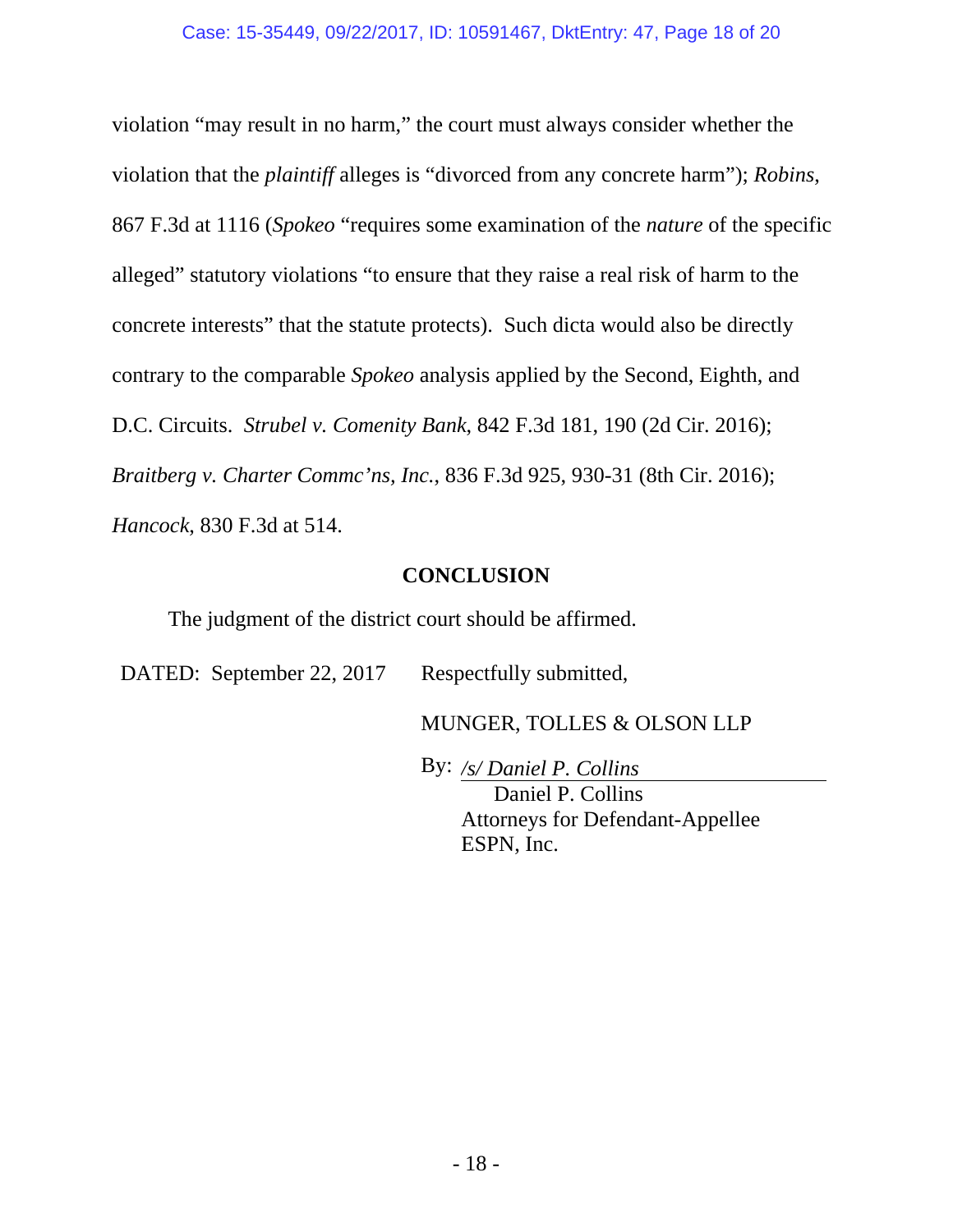violation "may result in no harm," the court must always consider whether the violation that the *plaintiff* alleges is "divorced from any concrete harm"); *Robins*, 867 F.3d at 1116 (*Spokeo* "requires some examination of the *nature* of the specific alleged" statutory violations "to ensure that they raise a real risk of harm to the concrete interests" that the statute protects). Such dicta would also be directly contrary to the comparable *Spokeo* analysis applied by the Second, Eighth, and D.C. Circuits. *Strubel v. Comenity Bank*, 842 F.3d 181, 190 (2d Cir. 2016); *Braitberg v. Charter Commc'ns, Inc.*, 836 F.3d 925, 930-31 (8th Cir. 2016); *Hancock*, 830 F.3d at 514.

### **CONCLUSION**

The judgment of the district court should be affirmed.

DATED: September 22, 2017 Respectfully submitted,

MUNGER, TOLLES & OLSON LLP

By: */s/ Daniel P. Collins* 

 Daniel P. Collins Attorneys for Defendant-Appellee ESPN, Inc.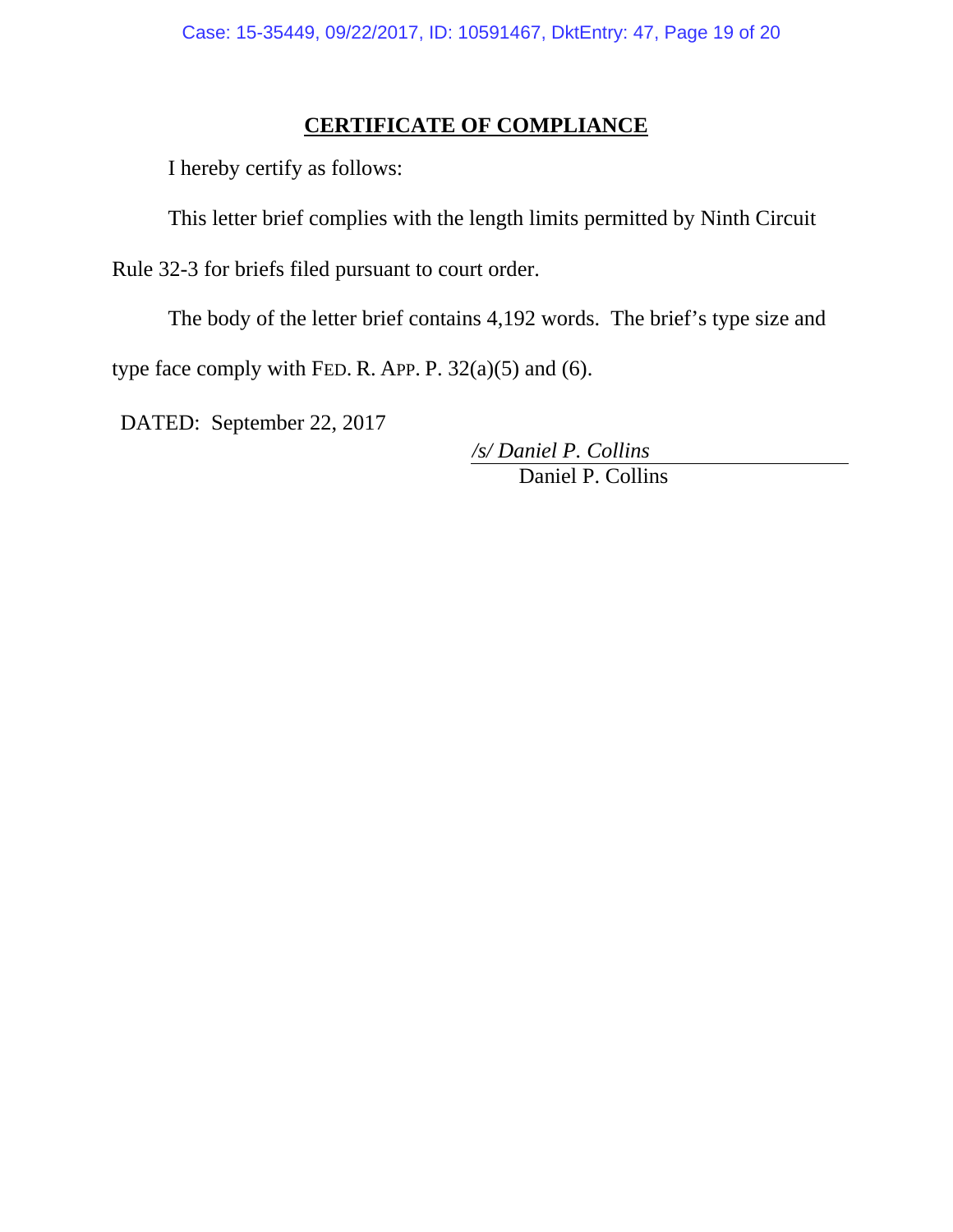# **CERTIFICATE OF COMPLIANCE**

I hereby certify as follows:

This letter brief complies with the length limits permitted by Ninth Circuit

Rule 32-3 for briefs filed pursuant to court order.

The body of the letter brief contains 4,192 words. The brief's type size and

type face comply with FED. R. APP. P.  $32(a)(5)$  and (6).

DATED: September 22, 2017

 Daniel P. Collins */s/ Daniel P. Collins*